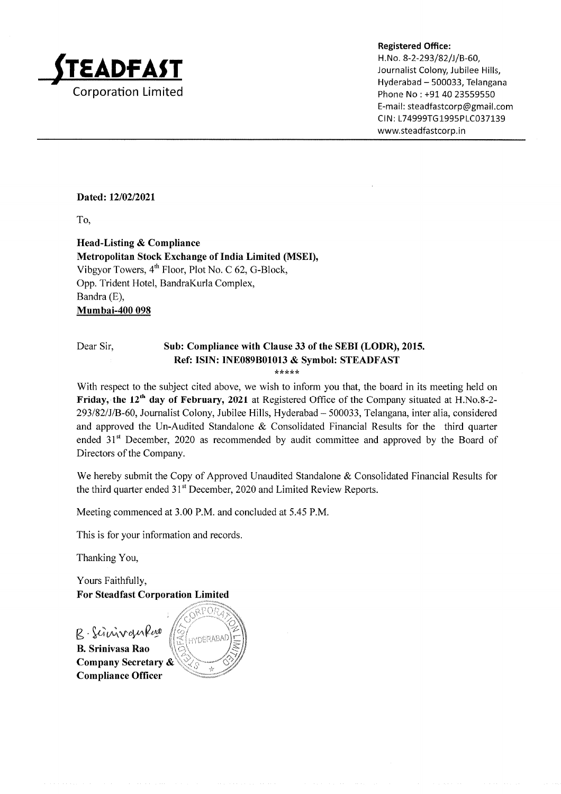

Hyderabad - 500033, Telangana Phone No : +91 40 23559550 E-mail : steadfastcorp@gmail.com CIN: L74999TG1995PLC037139 www.steadfastcorp.in

#### Dated: 12/02/2021

To,

Head-Listing & Compliance Metropolitan Stock Exchange of India Limited (MSED, Vibgyor Towers,  $4<sup>th</sup>$  Floor, Plot No. C 62, G-Block, Opp. Trident Hotel, BandraKurla Complex, Bandra (E), Mumbai-400 098

# Dear Sir, Sub: Compliance with Clause 33 of the SEBI (LODR), 2015. Ref: ISIN: INE089B01013 & Symbol: STEADFAST

\* \* \* \* \*

With respect to the subject cited above, we wish to inform you that, the board in its meeting held on Friday, the 12<sup>th</sup> day of February, 2021 at Registered Office of the Company situated at H.No.8-2-293l82lJlB-60, Journalist Colony, Jubilee Hills, Hyderabad - 500033, Telangana, inter alia, considered and approved the Un-Audited Standalone & Consolidated Financial Results for the third quarter ended 31<sup>st</sup> December, 2020 as recommended by audit committee and approved by the Board of Directors of the Company.

We hereby submit the Copy of Approved Unaudited Standalone & Consolidated Financial Results for the third quarter ended 31<sup>st</sup> December, 2020 and Limited Review Reports.

Meeting commenced at 3.00 P.M. and concluded at 5.45 P.M.

This is for your information and records.

Thanking You,

Yours Faithfully, For Steadfast Corporation Limited

R. Sinnvankar **NBARADA** B. Srinivasa Rao Company Secretary & Compliance Officer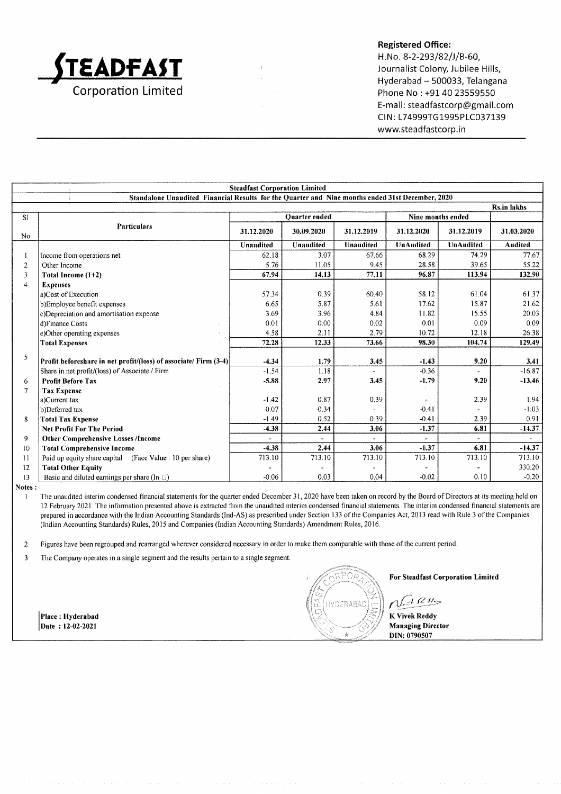

#### Registered Office:

H. No. 8-2-293/82/J/B-60, Journalist Colony, Jubilee Hills, Hyderabad - 500033, Telangana Phone No : +91 40 23559550 E-ma il: steadfastcorp@gmail.com CIN: L74999TG1995PLC037139 www.steadfastcorp.in

|                                                                                                  | <b>Steadfast Corporation Limited</b>                             |                      |            |            |                   |            |                    |
|--------------------------------------------------------------------------------------------------|------------------------------------------------------------------|----------------------|------------|------------|-------------------|------------|--------------------|
| Standalone Unaudited Financial Results for the Quarter and Nine months ended 31st December, 2020 |                                                                  |                      |            |            |                   |            |                    |
|                                                                                                  |                                                                  |                      |            |            |                   |            | <b>Rs.in lakhs</b> |
| S1                                                                                               |                                                                  | <b>Ouarter</b> ended |            |            | Nine months ended |            |                    |
| No                                                                                               | <b>Particulars</b>                                               | 31.12.2020           | 30.09.2020 | 31.12.2019 | 31.12.2020        | 31.12.2019 | 31.03.2020         |
|                                                                                                  |                                                                  | Unaudited            | Unaudited  | Unaudited  | <b>UnAudited</b>  | UnAudited  | <b>Audited</b>     |
|                                                                                                  | Income from operations net                                       | 62.18                | 3.07       | 67.66      | 68.29             | 74.29      | 77.67              |
| $\overline{2}$                                                                                   | Other Income                                                     | 5.76                 | 11.05      | 9.45       | 28.58             | 39.65      | 55.22              |
| 3                                                                                                | Total Income $(1+2)$                                             | 67.94                | 14.13      | 77.11      | 96.87             | 113.94     | 132.90             |
| $\overline{4}$                                                                                   | <b>Expenses</b>                                                  |                      |            |            |                   |            |                    |
|                                                                                                  | a)Cost of Execution                                              | 57.34                | 0.39       | 60.40      | 58.12             | 61.04      | 61.37              |
|                                                                                                  | b)Employee benefit expenses                                      | 6.65                 | 5.87       | 5.61       | 17.62             | 15.87      | 21.62              |
|                                                                                                  | c)Depreciation and amortisation expense                          | 3.69                 | 3.96       | 4.84       | 11.82             | 15.55      | 20.03              |
|                                                                                                  | d)Finance Costs                                                  | 0.01                 | 0.00       | 0.02       | 0.01              | 0.09       | 0.09               |
|                                                                                                  | e)Other operating expenses                                       | 4.58                 | 2.11       | 2.79       | 10.72             | 12.18      | 26.38              |
|                                                                                                  | <b>Total Expenses</b>                                            | 72.28                | 12.33      | 73.66      | 98.30             | 104.74     | 129.49             |
| 5                                                                                                |                                                                  |                      |            |            |                   |            |                    |
|                                                                                                  | Profit beforeshare in net profit/(loss) of associate/ Firm (3-4) | $-4.34$              | 1.79       | 3.45       | $-1.43$           | 9.20       | 3.41               |
|                                                                                                  | Share in net profit/(loss) of Associate / Firm                   | $-1.54$              | 1.18       |            | $-0.36$           |            | $-16.87$           |
| 6                                                                                                | <b>Profit Before Tax</b>                                         | $-5.88$              | 2.97       | 3.45       | $-1.79$           | 9.20       | $-13.46$           |
| $\tau$                                                                                           | <b>Tax Expense</b>                                               |                      |            |            |                   |            |                    |
|                                                                                                  | a)Current tax                                                    | $-1.42$              | 0.87       | 0.39       |                   | 2.39       | 1.94               |
|                                                                                                  | b)Deferred tax                                                   | $-0.07$              | $-0.34$    |            | $-0.41$           |            | $-1.03$            |
| 8                                                                                                | <b>Total Tax Expense</b>                                         | $-1.49$              | 0.52       | 0.39       | $-0.41$           | 2.39       | 0.91               |
|                                                                                                  | <b>Net Profit For The Period</b>                                 | $-4.38$              | 2.44       | 3.06       | $-1.37$           | 6.81       | $-14.37$           |
| 9                                                                                                | <b>Other Comprehensive Losses /Income</b>                        |                      |            |            |                   |            |                    |
| 10                                                                                               | <b>Total Comprehensive Income</b>                                | $-4.38$              | 2.44       | 3.06       | $-1.37$           | 6.81       | $-14.37$           |
| 11                                                                                               | Paid up equity share capital (Face Value : 10 per share)         | 713.10               | 713.10     | 713.10     | 713.10            | 713.10     | 713.10             |
| 12                                                                                               | <b>Total Other Equity</b>                                        |                      |            |            |                   |            | 330.20             |
| 13                                                                                               | Basic and diluted earnings per share (In [1])                    | $-0.06$              | 0.03       | 0.04       | $-0.02$           | 0.10       | $-0.20$            |

Notes :

I The unaudited interim condensed financial statements for the quarter ended December 31, 2020 have been taken on record by the Board of Directors at its meeting held on <sup>12</sup>February 2021. The information presented above is extracted from the unaudited interim condensed financial statements. The interim condensed financial statements are prepared in accordance with the Indian Accounting Standards (Ind-AS) as prescribed under Section 133 ofthe Companies Act,2013 read with Rule 3 ofthe Companies (lndian Accounting Standards) Rules,20l5 and Companies (Indian Accounting Standards) Amendment Rutes,20l6.

2 Figures have been regrouped and rearranged wherever considered necessary in order to make them comparable with those ofthe current period.

3 The Company operates in a single segment and the results pertain to a single segment.

Place: Hyderabad Date: 12-02-2021



For Steadfast Corporation Limited

 $n$  $\mathbb{R}^{n}$ 

K Vivek Reddy Managing Director DIN:0790507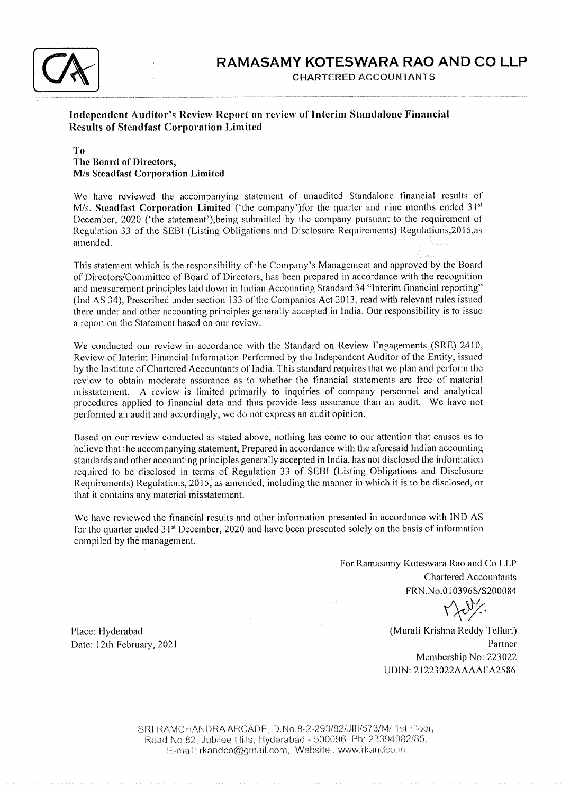

### Independent Auditor's Review Report on review of Interim Standalone Financial Results of Steadfast Corporation Linrited

#### To The Board of Directors, M/s Steadfast Corporation Limited

We have reviewed the accompanying statement of unaudited Standalone financial results of M/s. Steadfast Corporation Limited ('the company') for the quarter and nine months ended  $31<sup>st</sup>$ December, 2020 ('the statement'), being submitted by the company pursuant to the requirement of Regulation 33 of the SEBI (Listing Obligations and Disclosure Requirements) Regulations, 2015, as amended.

This statement which is the responsibility of the Company's Management and approved by the Board of Directors/Committee of Board of Directors, has been prepared in accordance with the recognition and measurement principles laid down in Indian Accounting Standard 34 "Interim financial reporting" (Ind AS 34), Prescribed under section 133 of the Companies Act 2013, read with relevant rules issued there under and other accounting principles generally accepted in India. Our responsibility is to issue a report on the Statement based on our review.

We conducted our review in accordance with the Standard on Review Engagements (SRE) 2410, Review of Interim Financial Information Performed by the Independent Auditor of the Entity, issued by the Institute of Chartered Accountants of India. This standard requires that we plan and perfornr the review to obtain moderate assurance as to whether the financial statements are free of material misstatement. A review is linrited prinrarily to inquiries of company personnel and analytical procedures applied to financial data and thus provide less assurance than an audit. We have not performed an audit and accordingly, we do not express an audit opinion.

Based on our review conducted as stated above, nothing has come to our attention that causes us to believe that the accompanying statement, Prepared in accordance with the aforesaid Indian accounting standards and other accounting principles generally accepted in India, has not disclosed the information required to be disclosed in terms of Regulation 33 of SEBI (Listing Obligations and Disclosure Requirements) Regulations, 2015, as amended, including the manner in which it is to be disclosed, or that it contains any material misstatement.

We have reviewed the financial results and other information presented in accordance with IND AS for the quarter ended 31<sup>st</sup> December, 2020 and have been presented solely on the basis of information compiled by the management.

> For Ramasamy Koteswara Rao and Co LLP Chartered Accountants FRN.No.0 I 0396S/S200084

 $010396S/S$ 

(Murali Krishna Reddy Telluri) Partner Mernbership No:223022 tJ DIN : 21223022 AAAA FA25 86

Place: Hyderabad Date: l2th February, <sup>2021</sup>

> SRI RAMCHANDRA ARCADE, D.No.8-2-293/82/JIII/573/M/ 1st Floor, Road No.B2, Jubilee Hills, Hyderabad - 500096. Ph: 23394982/85, E-mail: rkandco@gmail.com, Website : www.rkandco.in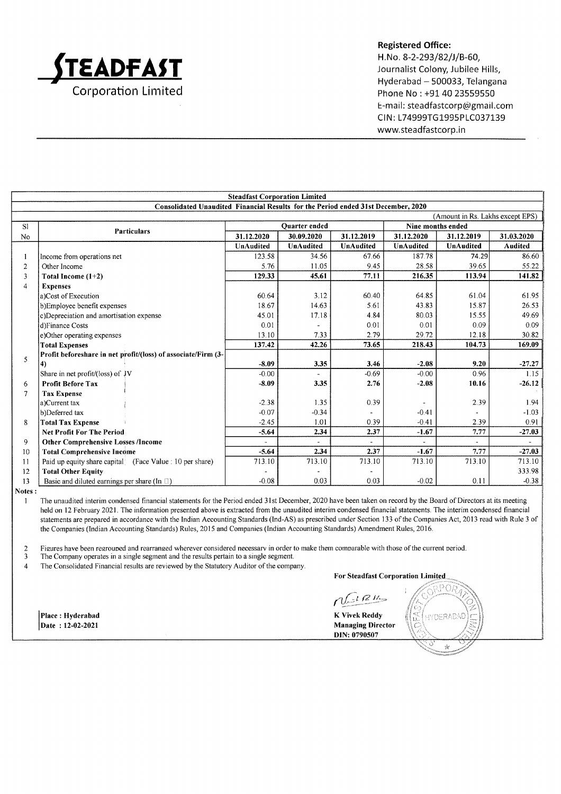

#### Registered Office:

H.No. 8-2-293/82/J/B-60, Journalist Colony, Jubilee Hills, Hyderabad - 500033, Telangana Phone No : +91 40 23559550 E-mail: steadfastcorp@gmail.com CIN: L74999TG1995PLC037139 www,steadfastcorp.in

|                                                                                   | <b>Steadfast Corporation Limited</b>                          |                  |                  |            |                   |            |                |
|-----------------------------------------------------------------------------------|---------------------------------------------------------------|------------------|------------------|------------|-------------------|------------|----------------|
| Consolidated Unaudited Financial Results for the Period ended 31st December, 2020 |                                                               |                  |                  |            |                   |            |                |
|                                                                                   | (Amount in Rs. Lakhs except EPS)                              |                  |                  |            |                   |            |                |
| S1                                                                                | <b>Particulars</b>                                            | Quarter ended    |                  |            | Nine months ended |            |                |
| No                                                                                |                                                               | 31.12.2020       | 30.09.2020       | 31.12.2019 | 31.12.2020        | 31.12.2019 | 31.03.2020     |
|                                                                                   |                                                               | <b>UnAudited</b> | <b>UnAudited</b> | UnAudited  | <b>UnAudited</b>  | UnAudited  | <b>Audited</b> |
|                                                                                   | Income from operations net                                    | 123.58           | 34.56            | 67.66      | 187.78            | 74.29      | 86.60          |
| $\overline{2}$                                                                    | Other Income                                                  | 5.76             | 11.05            | 9.45       | 28.58             | 39.65      | 55.22          |
| 3                                                                                 | Total Income $(1+2)$                                          | 129.33           | 45.61            | 77.11      | 216.35            | 113.94     | 141.82         |
| $\overline{4}$                                                                    | <b>Expenses</b>                                               |                  |                  |            |                   |            |                |
|                                                                                   | a)Cost of Execution                                           | 60.64            | 3.12             | 60.40      | 64.85             | 61.04      | 61.95          |
|                                                                                   | b)Employee benefit expenses                                   | 18.67            | 14.63            | 5.61       | 43.83             | 15.87      | 26.53          |
|                                                                                   | c)Depreciation and amortisation expense                       | 45.01            | 17.18            | 4.84       | 80.03             | 15.55      | 49.69          |
|                                                                                   | d)Finance Costs                                               | 0.01             |                  | 0.01       | 0.01              | 0.09       | 0.09           |
|                                                                                   | e)Other operating expenses                                    | 13.10            | 7.33             | 2.79       | 29.72             | 12.18      | 30.82          |
|                                                                                   | <b>Total Expenses</b>                                         | 137.42           | 42.26            | 73.65      | 218.43            | 104.73     | 169.09         |
| 5                                                                                 | Profit beforeshare in net profit/(loss) of associate/Firm (3- |                  |                  |            |                   |            |                |
|                                                                                   | 4)                                                            | $-8.09$          | 3.35             | 3.46       | $-2.08$           | 9.20       | $-27.27$       |
|                                                                                   | Share in net profit/(loss) of JV                              | $-0.00$          |                  | $-0.69$    | $-0.00$           | 0.96       | 1.15           |
| 6                                                                                 | <b>Profit Before Tax</b>                                      | $-8.09$          | 3.35             | 2.76       | $-2.08$           | 10.16      | $-26.12$       |
| 7                                                                                 | <b>Tax Expense</b>                                            |                  |                  |            |                   |            |                |
|                                                                                   | a)Current tax                                                 | $-2.38$          | 1.35             | 0.39       |                   | 2.39       | 1.94           |
|                                                                                   | b)Deferred tax                                                | $-0.07$          | $-0.34$          |            | $-0.41$           |            | $-1.03$        |
| 8                                                                                 | <b>Total Tax Expense</b>                                      | $-2.45$          | 1.01             | 0.39       | $-0.41$           | 2.39       | 0.91           |
|                                                                                   | <b>Net Profit For The Period</b>                              | $-5.64$          | 2.34             | 2.37       | $-1.67$           | 7.77       | $-27.03$       |
| 9                                                                                 | <b>Other Comprehensive Losses /Income</b>                     |                  |                  |            |                   |            |                |
| 10                                                                                | <b>Total Comprehensive Income</b>                             | $-5.64$          | 2.34             | 2.37       | $-1.67$           | 7.77       | $-27.03$       |
| 11                                                                                | Paid up equity share capital (Face Value : 10 per share)      | 713.10           | 713.10           | 713.10     | 713.10            | 713.10     | 713.10         |
| 12                                                                                | <b>Total Other Equity</b>                                     |                  |                  |            |                   |            | 333.98         |
| 13                                                                                | Basic and diluted earnings per share (In $\Box$ )             | $-0.08$          | 0.03             | 0.03       | $-0.02$           | 0.11       | $-0.38$        |

Notes:

The unaudited interim condensed financial statements for the Period ended 31st December, 2020 have been taken on record by the Board of Directors at its meeting  $\mathbf{1}$ held on 12 February 2021. The information presented above is extracted from the unaudited interim condensed financial statements. The interim condensed financial statements are prepared in accordance with the Indian Accounting Standards (lnd-AS) as prescribed under Section 133 ofthe Companies Act,2013 read with Rule 3 of the Companies (Indian Accounting Standards) Rules,20l5 and Companies (Indian Accounting Standards) Amendment Rules,2016.

2 Figures have been regrouped and rearranged wherever considered necessary in order to make them comparable with those of the current period.<br>The Company operates in a single segment and the results pertain to a single seg

The Company operates in a single segment and the results pertain to a single segment.

4 The Consolidated Financial results are reviewed by the Statutory Auditor of the company.

Place: Hyderabad Date: 12-02-2021

For Steadfast Corporation

 $n$  $\Omega^{n-1}$ 

K Yivek Reddy Managing Director DIN: 0790507

57<br>|-<br>|S (hyderabad) (~ l) J tr.  $\bigcap$ C' /: \*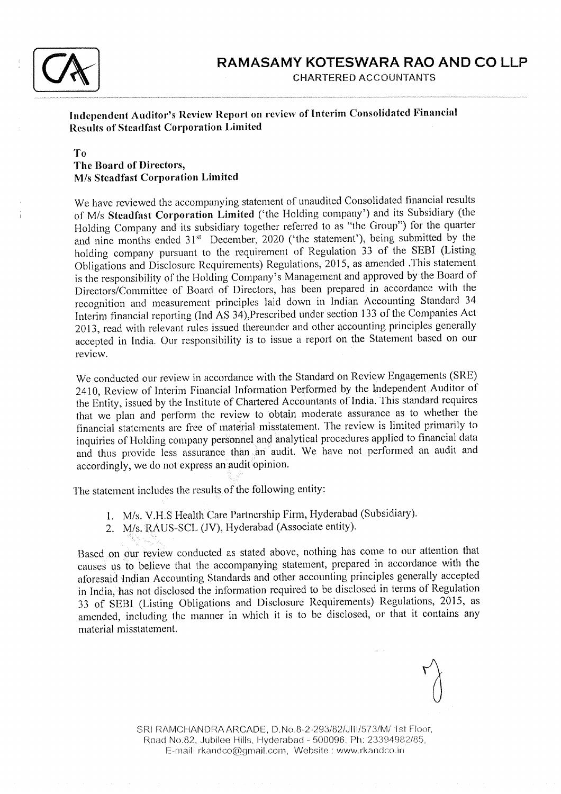

Independent Auditor's Review Report on review of Interim Consolidated Financial Results of Steadfast Corporation Limited

#### To The Board of Directors, M/s Steadfast Corporation Limitcd

We have reviewed the accompanying statement of unaudited Consolidated financial results of M/s Steadfast Corporation Limited ('the Holding company') and its Subsidiary (the Holding Company and its subsidiary together referred to as "the Group") for the quarter and nine months ended  $31<sup>st</sup>$  December, 2020 ('the statement'), being submitted by the holding company pursuant to the requirement of Regulation 33 of the SEBI (Listing Obligaiions and Diiclosure Requirements) Regulations,2075, as amended .This statement is the responsibility of the Holding Company's Management and approved by the Board of Directors/Committee of Board of Directors, has been prepared in accordance with the recognition and measurement principles laid down in Indian Accounting Standard 34 Interim financial reporting (lnd AS 34),Prescribed under section 133 of the Companies Act 2013, read with relevant rules issued thereunder and other accounting principles generally accepted in India. Our responsibility is to issue a report on the Statement based on our review.

We conducted our review in accordance with the Standard on Review Engagements (SRE) 2410, Review of Interim Financial Information Performed by the lndependent Auditor of the Entity, issued by the Institute of Chartered Accountants of India. This standard requires that we plan and perform the review to obtain moderate assurance as to whether the financial statements are free of material misstatement. The review is limited primarily to inquiries of Holding company personnel and analytical procedures applied to financial data and thus provide less assurance than an audit. We have not performed an audit and accordingly, we do not express an audit opinion.

The statement includes the results of the following entity:

- 1. M/s. V.H.S Health Care Partnership Firm, Hyderabad (Subsidiary).
- 2. M/s. RAUS-SCL (JV), Hyderabad (Associate entity).

Based on our review copducted as stated above, nothing has come to our attention that causes us to believe that the accompanying statement, prepared in accordance with the aforesaid Indian Accounting Standards and other accounting principles generally accepted in India, has not disclosed the information required to be disclosed in terms of Regulation 33 of SEBI (Listing Obligations and Disclosure Requirements) Regulations,20l5, as amended, including the manner in which it is to be disclosed, or that it contains any material misstatement.

SRI RAMCHANDRA ARCADE, D.No.8-2-293/82/JIII/573/M/ 1st Floor, Road No.B2, Jubilee Flills, Hyderabad - 500096. Ph: 23394982/85, E-mail: rkandco@gmail.com, Website : www.rkandco.in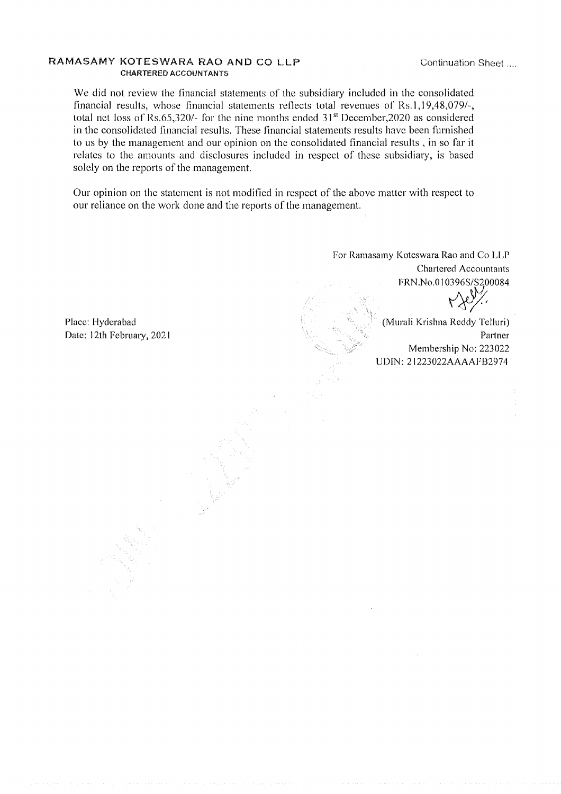#### RAMASAMY KOTESWARA RAO AND CO LLP CHARTERED ACCOUNTANTS

Continuation Sheet...

We did not review the financial statements of the subsidiary included in the consolidated financial results, whose financial statements reflects total revenues of Rs.1,19,48,079/-, total net loss of Rs.65,320/- for the nine months ended  $31<sup>st</sup>$  December,2020 as considered in the consolidated financial results. These financial statements results have been furnished to us by the managenrent and our opinion on the consolidated financial results , in so far it relates to the amounts and disclosures included in respect of these subsidiary, is based solely on the reports of the management.

Our opinion on the statement is not modified in respect of the above matter with respect to our reliance on the work done and the reports of the management.

Place: Hyderabad Date: l2th February, <sup>2021</sup>

1F!r, . ^

<sup>r</sup>'1. -'-

For Ramasamy Koteswara Rao and Co LLP Chartered Accountants FRN.No.010396S/S200084

(Murali Krishna Reddy Telluri) Partner Mernbership No:223022 UDIN: 21223022AAAAFB2974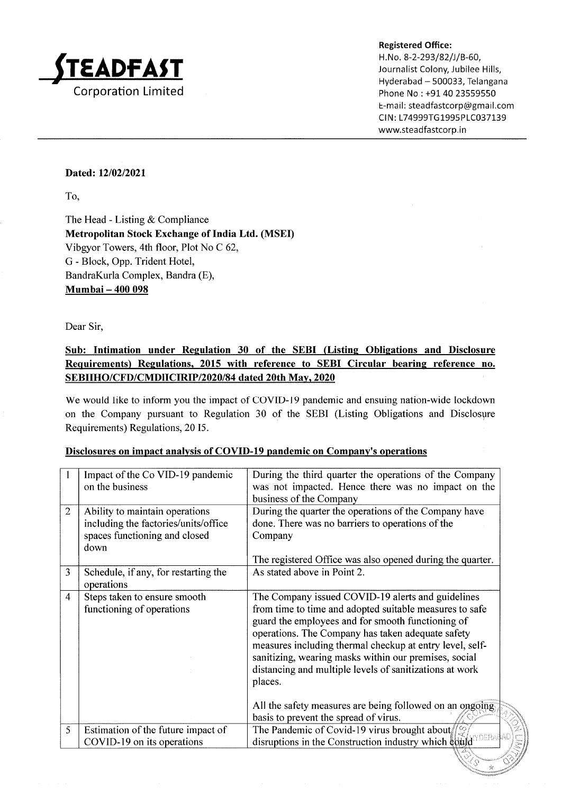

Hyderabad - 500033, Telangana Phone No: +91 40 23559550 E-mail: steadfastcorp@gmail.com CIN: L74999TG1995PLC037139 www.steadfastcorp.in

> I" ,:'

sr ';<

#### Dated: 12/02/2021

To,

The Head - Listing & Compliance Metropolitan Stock Exchange of India Ltd. (MSED Vibgyor Towers, 4th floor, Plot No C 62, G - Block, Opp. Trident Hotel, BandraKurla Complex, Bandra (E), Mumbai - 400 098

Dear Sir,

# Sub: Intimation under Regulation 30 of the SEBI (Listing Obligations and Disclosure Requirements) Regulations, 2015 with reference to SEBI Circular bearing reference no. SEBIIHO/CFD/CMDIICIRIP/2020/84 dated 20th Mav. 2020

We would Iike to inform you the impact of COVID-19 pandemic and ensuing nation-wide lockdown on the Company pursuant to Regulation 30 of the SEBI (Listing Obligations and Disclosure Requirements) Regulations, 20 15.

|  | Disclosures on impact analysis of COVID-19 pandemic on Company's operations |
|--|-----------------------------------------------------------------------------|
|  |                                                                             |

|                | Impact of the Co VID-19 pandemic<br>on the business                                                             | During the third quarter the operations of the Company<br>was not impacted. Hence there was no impact on the<br>business of the Company                                                                                                                                                                                                                                                                                                                                                                                |
|----------------|-----------------------------------------------------------------------------------------------------------------|------------------------------------------------------------------------------------------------------------------------------------------------------------------------------------------------------------------------------------------------------------------------------------------------------------------------------------------------------------------------------------------------------------------------------------------------------------------------------------------------------------------------|
| $\overline{2}$ | Ability to maintain operations<br>including the factories/units/office<br>spaces functioning and closed<br>down | During the quarter the operations of the Company have<br>done. There was no barriers to operations of the<br>Company<br>The registered Office was also opened during the quarter.                                                                                                                                                                                                                                                                                                                                      |
| 3              | Schedule, if any, for restarting the<br>operations                                                              | As stated above in Point 2.                                                                                                                                                                                                                                                                                                                                                                                                                                                                                            |
| 4              | Steps taken to ensure smooth<br>functioning of operations                                                       | The Company issued COVID-19 alerts and guidelines<br>from time to time and adopted suitable measures to safe<br>guard the employees and for smooth functioning of<br>operations. The Company has taken adequate safety<br>measures including thermal checkup at entry level, self-<br>sanitizing, wearing masks within our premises, social<br>distancing and multiple levels of sanitizations at work<br>places.<br>All the safety measures are being followed on an ongoing<br>basis to prevent the spread of virus. |
| 5              | Estimation of the future impact of<br>COVID-19 on its operations                                                | The Pandemic of Covid-19 virus brought about $\frac{1}{2}$<br>disruptions in the Construction industry which could                                                                                                                                                                                                                                                                                                                                                                                                     |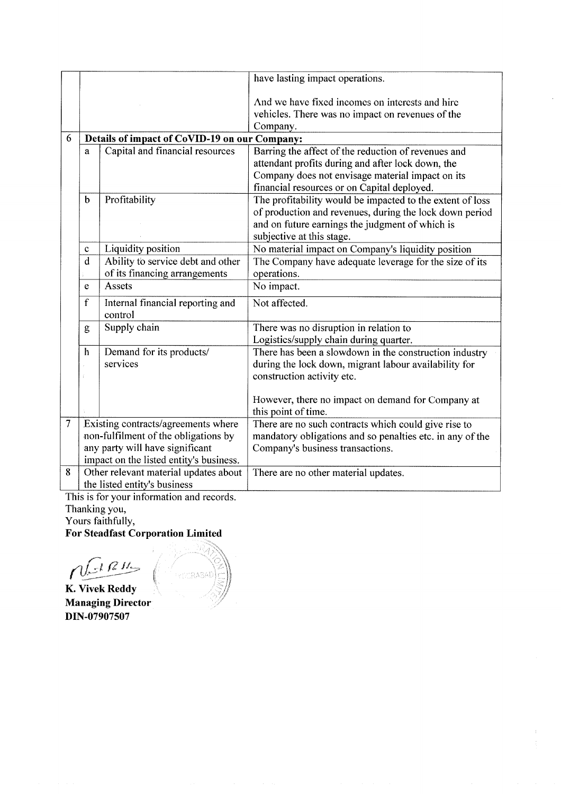|   |                                                                            |                                             | have lasting impact operations.                                                                                                                                                                             |  |  |
|---|----------------------------------------------------------------------------|---------------------------------------------|-------------------------------------------------------------------------------------------------------------------------------------------------------------------------------------------------------------|--|--|
|   |                                                                            |                                             | And we have fixed incomes on interests and hire<br>vehicles. There was no impact on revenues of the<br>Company.                                                                                             |  |  |
| 6 | Details of impact of CoVID-19 on our Company:                              |                                             |                                                                                                                                                                                                             |  |  |
|   | a                                                                          | Capital and financial resources             | Barring the affect of the reduction of revenues and<br>attendant profits during and after lock down, the<br>Company does not envisage material impact on its<br>financial resources or on Capital deployed. |  |  |
|   | $\mathbf b$                                                                | Profitability                               | The profitability would be impacted to the extent of loss<br>of production and revenues, during the lock down period<br>and on future earnings the judgment of which is<br>subjective at this stage.        |  |  |
|   | C                                                                          | Liquidity position                          | No material impact on Company's liquidity position                                                                                                                                                          |  |  |
|   | d                                                                          | Ability to service debt and other           | The Company have adequate leverage for the size of its                                                                                                                                                      |  |  |
|   |                                                                            | of its financing arrangements               | operations.                                                                                                                                                                                                 |  |  |
|   | e                                                                          | Assets                                      | No impact.                                                                                                                                                                                                  |  |  |
|   | $\mathbf f$                                                                | Internal financial reporting and<br>control | Not affected.                                                                                                                                                                                               |  |  |
|   | Supply chain<br>g                                                          |                                             | There was no disruption in relation to<br>Logistics/supply chain during quarter.                                                                                                                            |  |  |
|   | h                                                                          | Demand for its products/<br>services        | There has been a slowdown in the construction industry<br>during the lock down, migrant labour availability for<br>construction activity etc.                                                               |  |  |
|   |                                                                            |                                             | However, there no impact on demand for Company at<br>this point of time.                                                                                                                                    |  |  |
| 7 |                                                                            | Existing contracts/agreements where         | There are no such contracts which could give rise to                                                                                                                                                        |  |  |
|   | non-fulfilment of the obligations by                                       |                                             | mandatory obligations and so penalties etc. in any of the                                                                                                                                                   |  |  |
|   | any party will have significant<br>impact on the listed entity's business. |                                             | Company's business transactions.                                                                                                                                                                            |  |  |
| 8 |                                                                            | Other relevant material updates about       | There are no other material updates.                                                                                                                                                                        |  |  |
|   |                                                                            |                                             |                                                                                                                                                                                                             |  |  |
|   | the listed entity's business                                               |                                             |                                                                                                                                                                                                             |  |  |

 $\ddot{\phantom{a}}$ 

This is for your information and records

Thanking you,

Yours faithfully,

For Steadfast Corporation Limited

 $\sqrt{\ln n}$ 

K. Vivek Reddy Managing Director DIN-07907507

 $\gtrsim$  $\geq$  $\mathcal{V}$